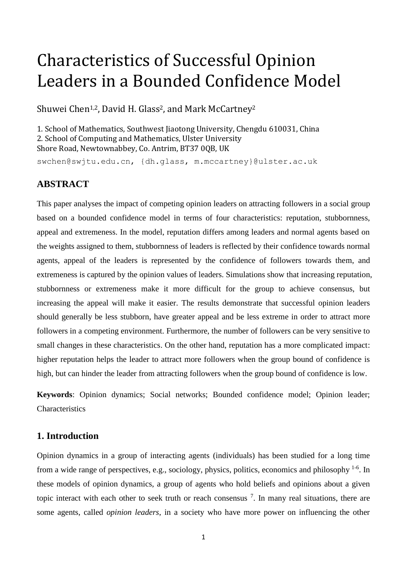# Characteristics of Successful Opinion Leaders in a Bounded Confidence Model

Shuwei Chen<sup>1,2</sup>, David H. Glass<sup>2</sup>, and Mark McCartney<sup>2</sup>

1. School of Mathematics, Southwest Jiaotong University, Chengdu 610031, China 2. School of Computing and Mathematics, Ulster University Shore Road, Newtownabbey, Co. Antrim, BT37 0QB, UK

swchen@swjtu.edu.cn, {dh.glass, m.mccartney}@ulster.ac.uk

# **ABSTRACT**

This paper analyses the impact of competing opinion leaders on attracting followers in a social group based on a bounded confidence model in terms of four characteristics: reputation, stubbornness, appeal and extremeness. In the model, reputation differs among leaders and normal agents based on the weights assigned to them, stubbornness of leaders is reflected by their confidence towards normal agents, appeal of the leaders is represented by the confidence of followers towards them, and extremeness is captured by the opinion values of leaders. Simulations show that increasing reputation, stubbornness or extremeness make it more difficult for the group to achieve consensus, but increasing the appeal will make it easier. The results demonstrate that successful opinion leaders should generally be less stubborn, have greater appeal and be less extreme in order to attract more followers in a competing environment. Furthermore, the number of followers can be very sensitive to small changes in these characteristics. On the other hand, reputation has a more complicated impact: higher reputation helps the leader to attract more followers when the group bound of confidence is high, but can hinder the leader from attracting followers when the group bound of confidence is low.

**Keywords**: Opinion dynamics; Social networks; Bounded confidence model; Opinion leader; **Characteristics** 

# **1. Introduction**

Opinion dynamics in a group of interacting agents (individuals) has been studied for a long time from a wide range of perspectives, e.g., sociology, physics, politics, economics and philosophy <sup>1-6</sup>. In these models of opinion dynamics, a group of agents who hold beliefs and opinions about a given topic interact with each other to seek truth or reach consensus  $<sup>7</sup>$ . In many real situations, there are</sup> some agents, called *opinion leaders*, in a society who have more power on influencing the other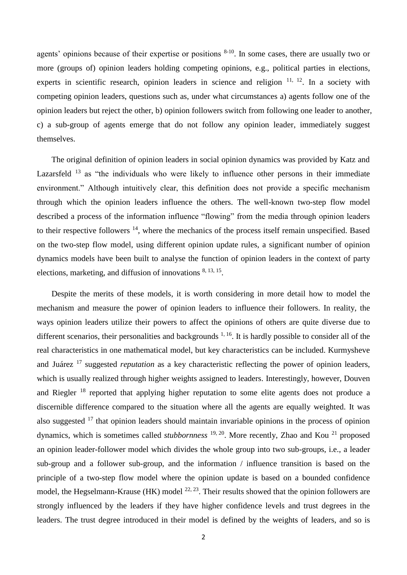agents' opinions because of their expertise or positions <sup>8-10</sup>. In some cases, there are usually two or more (groups of) opinion leaders holding competing opinions, e.g., political parties in elections, experts in scientific research, opinion leaders in science and religion  $11, 12$ . In a society with competing opinion leaders, questions such as, under what circumstances a) agents follow one of the opinion leaders but reject the other, b) opinion followers switch from following one leader to another, c) a sub-group of agents emerge that do not follow any opinion leader, immediately suggest themselves.

The original definition of opinion leaders in social opinion dynamics was provided by Katz and Lazarsfeld  $13$  as "the individuals who were likely to influence other persons in their immediate environment." Although intuitively clear, this definition does not provide a specific mechanism through which the opinion leaders influence the others. The well-known two-step flow model described a process of the information influence "flowing" from the media through opinion leaders to their respective followers  $^{14}$ , where the mechanics of the process itself remain unspecified. Based on the two-step flow model, using different opinion update rules, a significant number of opinion dynamics models have been built to analyse the function of opinion leaders in the context of party elections, marketing, and diffusion of innovations  $8, 13, 15$ .

Despite the merits of these models, it is worth considering in more detail how to model the mechanism and measure the power of opinion leaders to influence their followers. In reality, the ways opinion leaders utilize their powers to affect the opinions of others are quite diverse due to different scenarios, their personalities and backgrounds  $1, 16$ . It is hardly possible to consider all of the real characteristics in one mathematical model, but key characteristics can be included. Kurmysheve and Juárez <sup>17</sup> suggested *reputation* as a key characteristic reflecting the power of opinion leaders, which is usually realized through higher weights assigned to leaders. Interestingly, however, Douven and Riegler  $^{18}$  reported that applying higher reputation to some elite agents does not produce a discernible difference compared to the situation where all the agents are equally weighted. It was also suggested <sup>17</sup> that opinion leaders should maintain invariable opinions in the process of opinion dynamics, which is sometimes called *stubbornness* <sup>19, 20</sup>. More recently, Zhao and Kou<sup>21</sup> proposed an opinion leader-follower model which divides the whole group into two sub-groups, i.e., a leader sub-group and a follower sub-group, and the information / influence transition is based on the principle of a two-step flow model where the opinion update is based on a bounded confidence model, the Hegselmann-Krause (HK) model  $^{22, 23}$ . Their results showed that the opinion followers are strongly influenced by the leaders if they have higher confidence levels and trust degrees in the leaders. The trust degree introduced in their model is defined by the weights of leaders, and so is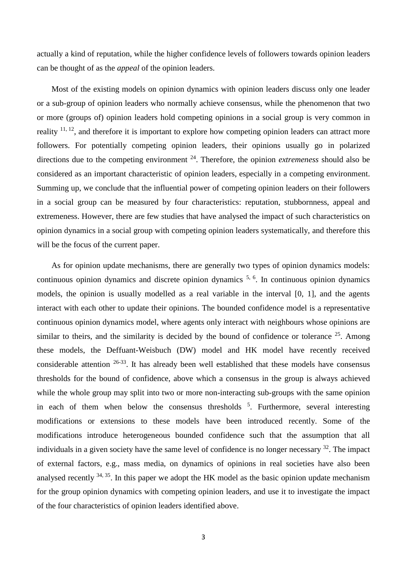actually a kind of reputation, while the higher confidence levels of followers towards opinion leaders can be thought of as the *appeal* of the opinion leaders.

Most of the existing models on opinion dynamics with opinion leaders discuss only one leader or a sub-group of opinion leaders who normally achieve consensus, while the phenomenon that two or more (groups of) opinion leaders hold competing opinions in a social group is very common in reality <sup>11, 12</sup>, and therefore it is important to explore how competing opinion leaders can attract more followers. For potentially competing opinion leaders, their opinions usually go in polarized directions due to the competing environment <sup>24</sup>. Therefore, the opinion *extremeness* should also be considered as an important characteristic of opinion leaders, especially in a competing environment. Summing up, we conclude that the influential power of competing opinion leaders on their followers in a social group can be measured by four characteristics: reputation, stubbornness, appeal and extremeness. However, there are few studies that have analysed the impact of such characteristics on opinion dynamics in a social group with competing opinion leaders systematically, and therefore this will be the focus of the current paper.

As for opinion update mechanisms, there are generally two types of opinion dynamics models: continuous opinion dynamics and discrete opinion dynamics  $5, 6$ . In continuous opinion dynamics models, the opinion is usually modelled as a real variable in the interval [0, 1], and the agents interact with each other to update their opinions. The bounded confidence model is a representative continuous opinion dynamics model, where agents only interact with neighbours whose opinions are similar to theirs, and the similarity is decided by the bound of confidence or tolerance  $25$ . Among these models, the Deffuant-Weisbuch (DW) model and HK model have recently received considerable attention  $26-33$ . It has already been well established that these models have consensus thresholds for the bound of confidence, above which a consensus in the group is always achieved while the whole group may split into two or more non-interacting sub-groups with the same opinion in each of them when below the consensus thresholds  $5$ . Furthermore, several interesting modifications or extensions to these models have been introduced recently. Some of the modifications introduce heterogeneous bounded confidence such that the assumption that all individuals in a given society have the same level of confidence is no longer necessary <sup>32</sup>. The impact of external factors, e.g., mass media, on dynamics of opinions in real societies have also been analysed recently  $34, 35$ . In this paper we adopt the HK model as the basic opinion update mechanism for the group opinion dynamics with competing opinion leaders, and use it to investigate the impact of the four characteristics of opinion leaders identified above.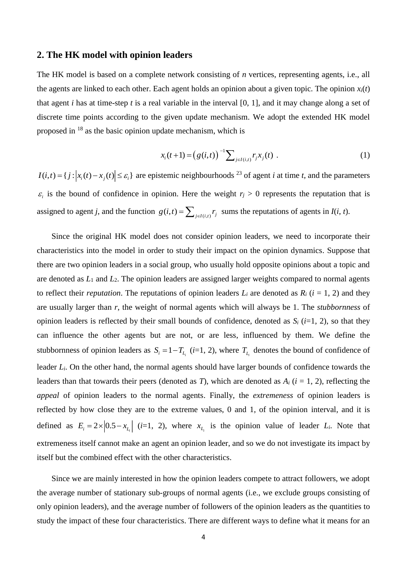#### **2. The HK model with opinion leaders**

The HK model is based on a complete network consisting of *n* vertices, representing agents, i.e., all the agents are linked to each other. Each agent holds an opinion about a given topic. The opinion  $x_i(t)$ that agent *i* has at time-step *t* is a real variable in the interval [0, 1], and it may change along a set of discrete time points according to the given update mechanism. We adopt the extended HK model proposed in <sup>18</sup> as the basic opinion update mechanism, which is

$$
x_i(t+1) = (g(i,t))^{-1} \sum_{j \in I(i,t)} r_j x_j(t) . \tag{1}
$$

 $I(i,t) = \{ j : |x_i(t) - x_j(t)| \le \varepsilon_i \}$  are epistemic neighbourhoods <sup>23</sup> of agent *i* at time *t*, and the parameters  $\varepsilon$ <sub>*i*</sub> is the bound of confidence in opinion. Here the weight  $r_j > 0$  represents the reputation that is assigned to agent j, and the function  $g(i,t) = \sum_{j \in I(i,t)} r_j$  sums the reputations of agents in  $I(i, t)$ .

Since the original HK model does not consider opinion leaders, we need to incorporate their characteristics into the model in order to study their impact on the opinion dynamics. Suppose that there are two opinion leaders in a social group, who usually hold opposite opinions about a topic and are denoted as *L*<sup>1</sup> and *L*2. The opinion leaders are assigned larger weights compared to normal agents to reflect their *reputation*. The reputations of opinion leaders  $L_i$  are denoted as  $R_i$  ( $i = 1, 2$ ) and they are usually larger than *r*, the weight of normal agents which will always be 1. The *stubbornness* of opinion leaders is reflected by their small bounds of confidence, denoted as  $S_i$  ( $i=1, 2$ ), so that they can influence the other agents but are not, or are less, influenced by them. We define the stubbornness of opinion leaders as  $S_i = 1 - T_{L_i}$  (*i*=1, 2), where  $T_{L_i}$  denotes the bound of confidence of leader *Li*. On the other hand, the normal agents should have larger bounds of confidence towards the leaders than that towards their peers (denoted as *T*), which are denoted as  $A_i$  ( $i = 1, 2$ ), reflecting the *appeal* of opinion leaders to the normal agents. Finally, the *extremeness* of opinion leaders is reflected by how close they are to the extreme values, 0 and 1, of the opinion interval, and it is defined as  $E_i = 2 \times \begin{vmatrix} 0.5 - x_{L_i} \end{vmatrix}$  (*i*=1, 2), where  $x_{L_i}$  is the opinion value of leader  $L_i$ . Note that extremeness itself cannot make an agent an opinion leader, and so we do not investigate its impact by itself but the combined effect with the other characteristics.

Since we are mainly interested in how the opinion leaders compete to attract followers, we adopt the average number of stationary sub-groups of normal agents (i.e., we exclude groups consisting of only opinion leaders), and the average number of followers of the opinion leaders as the quantities to study the impact of these four characteristics. There are different ways to define what it means for an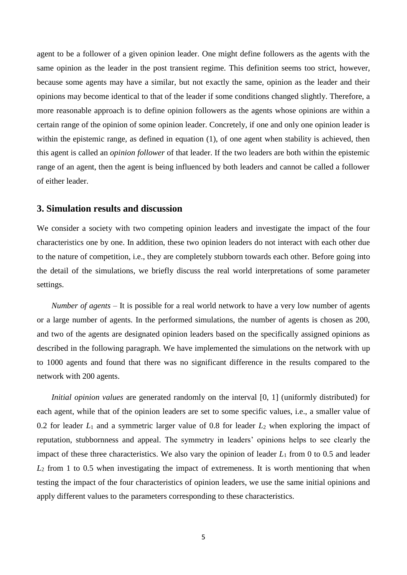agent to be a follower of a given opinion leader. One might define followers as the agents with the same opinion as the leader in the post transient regime. This definition seems too strict, however, because some agents may have a similar, but not exactly the same, opinion as the leader and their opinions may become identical to that of the leader if some conditions changed slightly. Therefore, a more reasonable approach is to define opinion followers as the agents whose opinions are within a certain range of the opinion of some opinion leader. Concretely, if one and only one opinion leader is within the epistemic range, as defined in equation (1), of one agent when stability is achieved, then this agent is called an *opinion follower* of that leader. If the two leaders are both within the epistemic range of an agent, then the agent is being influenced by both leaders and cannot be called a follower of either leader.

# **3. Simulation results and discussion**

We consider a society with two competing opinion leaders and investigate the impact of the four characteristics one by one. In addition, these two opinion leaders do not interact with each other due to the nature of competition, i.e., they are completely stubborn towards each other. Before going into the detail of the simulations, we briefly discuss the real world interpretations of some parameter settings.

*Number of agents* – It is possible for a real world network to have a very low number of agents or a large number of agents. In the performed simulations, the number of agents is chosen as 200, and two of the agents are designated opinion leaders based on the specifically assigned opinions as described in the following paragraph. We have implemented the simulations on the network with up to 1000 agents and found that there was no significant difference in the results compared to the network with 200 agents.

*Initial opinion values* are generated randomly on the interval [0, 1] (uniformly distributed) for each agent, while that of the opinion leaders are set to some specific values, i.e., a smaller value of 0.2 for leader *L*<sup>1</sup> and a symmetric larger value of 0.8 for leader *L*<sup>2</sup> when exploring the impact of reputation, stubbornness and appeal. The symmetry in leaders' opinions helps to see clearly the impact of these three characteristics. We also vary the opinion of leader *L*<sup>1</sup> from 0 to 0.5 and leader *L*<sup>2</sup> from 1 to 0.5 when investigating the impact of extremeness. It is worth mentioning that when testing the impact of the four characteristics of opinion leaders, we use the same initial opinions and apply different values to the parameters corresponding to these characteristics.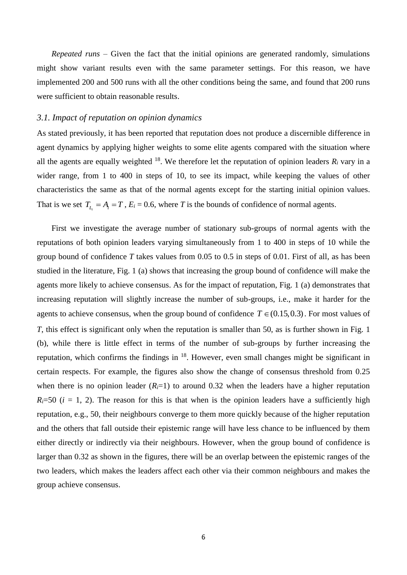*Repeated runs* – Given the fact that the initial opinions are generated randomly, simulations might show variant results even with the same parameter settings. For this reason, we have implemented 200 and 500 runs with all the other conditions being the same, and found that 200 runs were sufficient to obtain reasonable results.

### *3.1. Impact of reputation on opinion dynamics*

As stated previously, it has been reported that reputation does not produce a discernible difference in agent dynamics by applying higher weights to some elite agents compared with the situation where all the agents are equally weighted  $18$ . We therefore let the reputation of opinion leaders  $R_i$  vary in a wider range, from 1 to 400 in steps of 10, to see its impact, while keeping the values of other characteristics the same as that of the normal agents except for the starting initial opinion values. That is we set  $T_{L_i} = A_i = T$ ,  $E_i = 0.6$ , where *T* is the bounds of confidence of normal agents.

First we investigate the average number of stationary sub-groups of normal agents with the reputations of both opinion leaders varying simultaneously from 1 to 400 in steps of 10 while the group bound of confidence *T* takes values from 0.05 to 0.5 in steps of 0.01. First of all, as has been studied in the literature, [Fig. 1](#page-6-0) (a) shows that increasing the group bound of confidence will make the agents more likely to achieve consensus. As for the impact of reputation, [Fig. 1](#page-6-0) (a) demonstrates that increasing reputation will slightly increase the number of sub-groups, i.e., make it harder for the agents to achieve consensus, when the group bound of confidence  $T \in (0.15, 0.3)$ . For most values of *T*, this effect is significant only when the reputation is smaller than 50, as is further shown in [Fig. 1](#page-6-0) (b), while there is little effect in terms of the number of sub-groups by further increasing the reputation, which confirms the findings in  $18$ . However, even small changes might be significant in certain respects. For example, the figures also show the change of consensus threshold from 0.25 when there is no opinion leader  $(R_i=1)$  to around 0.32 when the leaders have a higher reputation  $R_i=50$  ( $i=1, 2$ ). The reason for this is that when is the opinion leaders have a sufficiently high reputation, e.g., 50, their neighbours converge to them more quickly because of the higher reputation and the others that fall outside their epistemic range will have less chance to be influenced by them either directly or indirectly via their neighbours. However, when the group bound of confidence is larger than 0.32 as shown in the figures, there will be an overlap between the epistemic ranges of the two leaders, which makes the leaders affect each other via their common neighbours and makes the group achieve consensus.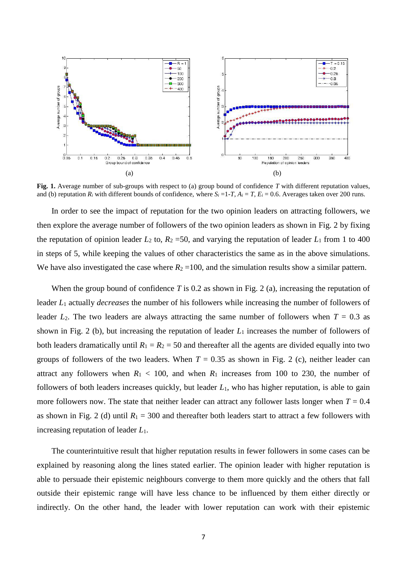

<span id="page-6-0"></span>**Fig. 1.** Average number of sub-groups with respect to (a) group bound of confidence *T* with different reputation values, and (b) reputation  $R_i$  with different bounds of confidence, where  $S_i = 1 - T$ ,  $A_i = T$ ,  $E_i = 0.6$ . Averages taken over 200 runs.

In order to see the impact of reputation for the two opinion leaders on attracting followers, we then explore the average number of followers of the two opinion leaders as shown in [Fig. 2](#page-7-0) by fixing the reputation of opinion leader  $L_2$  to,  $R_2$  =50, and varying the reputation of leader  $L_1$  from 1 to 400 in steps of 5, while keeping the values of other characteristics the same as in the above simulations. We have also investigated the case where  $R_2 = 100$ , and the simulation results show a similar pattern.

When the group bound of confidence *T* is 0.2 as shown in [Fig. 2](#page-7-0) (a), increasing the reputation of leader *L*<sup>1</sup> actually *decreases* the number of his followers while increasing the number of followers of leader  $L_2$ . The two leaders are always attracting the same number of followers when  $T = 0.3$  as shown in [Fig. 2](#page-7-0) (b), but increasing the reputation of leader *L*<sup>1</sup> increases the number of followers of both leaders dramatically until  $R_1 = R_2 = 50$  and thereafter all the agents are divided equally into two groups of followers of the two leaders. When  $T = 0.35$  as shown in [Fig. 2](#page-7-0) (c), neither leader can attract any followers when  $R_1$  < 100, and when  $R_1$  increases from 100 to 230, the number of followers of both leaders increases quickly, but leader *L*1, who has higher reputation, is able to gain more followers now. The state that neither leader can attract any follower lasts longer when  $T = 0.4$ as shown in [Fig. 2](#page-7-0) (d) until  $R_1 = 300$  and thereafter both leaders start to attract a few followers with increasing reputation of leader *L*1.

The counterintuitive result that higher reputation results in fewer followers in some cases can be explained by reasoning along the lines stated earlier. The opinion leader with higher reputation is able to persuade their epistemic neighbours converge to them more quickly and the others that fall outside their epistemic range will have less chance to be influenced by them either directly or indirectly. On the other hand, the leader with lower reputation can work with their epistemic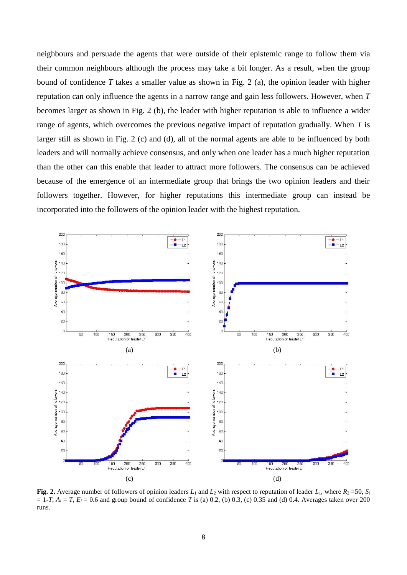neighbours and persuade the agents that were outside of their epistemic range to follow them via their common neighbours although the process may take a bit longer. As a result, when the group bound of confidence *T* takes a smaller value as shown in [Fig. 2](#page-7-0) (a), the opinion leader with higher reputation can only influence the agents in a narrow range and gain less followers. However, when *T* becomes larger as shown in [Fig. 2](#page-7-0) (b), the leader with higher reputation is able to influence a wider range of agents, which overcomes the previous negative impact of reputation gradually. When *T* is larger still as shown in [Fig. 2](#page-7-0) (c) and (d), all of the normal agents are able to be influenced by both leaders and will normally achieve consensus, and only when one leader has a much higher reputation than the other can this enable that leader to attract more followers. The consensus can be achieved because of the emergence of an intermediate group that brings the two opinion leaders and their followers together. However, for higher reputations this intermediate group can instead be incorporated into the followers of the opinion leader with the highest reputation.



<span id="page-7-0"></span>**Fig. 2.** Average number of followers of opinion leaders  $L_1$  and  $L_2$  with respect to reputation of leader  $L_1$ , where  $R_2 = 50$ ,  $S_i$  $= 1 - T$ ,  $A_i = T$ ,  $E_i = 0.6$  and group bound of confidence *T* is (a) 0.2, (b) 0.3, (c) 0.35 and (d) 0.4. Averages taken over 200 runs.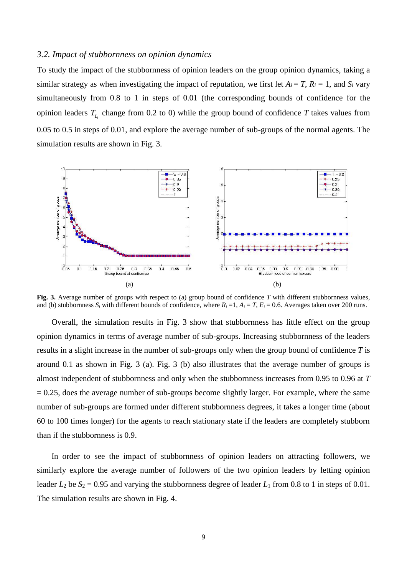#### *3.2. Impact of stubbornness on opinion dynamics*

To study the impact of the stubbornness of opinion leaders on the group opinion dynamics, taking a similar strategy as when investigating the impact of reputation, we first let  $A_i = T$ ,  $R_i = 1$ , and  $S_i$  vary simultaneously from 0.8 to 1 in steps of 0.01 (the corresponding bounds of confidence for the opinion leaders  $T_{L_i}$  change from 0.2 to 0) while the group bound of confidence *T* takes values from 0.05 to 0.5 in steps of 0.01, and explore the average number of sub-groups of the normal agents. The simulation results are shown in [Fig. 3.](#page-8-0)



<span id="page-8-0"></span>**Fig. 3.** Average number of groups with respect to (a) group bound of confidence *T* with different stubbornness values, and (b) stubbornness  $S_i$  with different bounds of confidence, where  $R_i = 1$ ,  $A_i = T$ ,  $E_i = 0.6$ . Averages taken over 200 runs.

Overall, the simulation results in [Fig. 3](#page-8-0) show that stubbornness has little effect on the group opinion dynamics in terms of average number of sub-groups. Increasing stubbornness of the leaders results in a slight increase in the number of sub-groups only when the group bound of confidence *T* is around 0.1 as shown in [Fig. 3](#page-8-0) (a). [Fig. 3](#page-8-0) (b) also illustrates that the average number of groups is almost independent of stubbornness and only when the stubbornness increases from 0.95 to 0.96 at *T*  $= 0.25$ , does the average number of sub-groups become slightly larger. For example, where the same number of sub-groups are formed under different stubbornness degrees, it takes a longer time (about 60 to 100 times longer) for the agents to reach stationary state if the leaders are completely stubborn than if the stubbornness is 0.9.

In order to see the impact of stubbornness of opinion leaders on attracting followers, we similarly explore the average number of followers of the two opinion leaders by letting opinion leader  $L_2$  be  $S_2 = 0.95$  and varying the stubbornness degree of leader  $L_1$  from 0.8 to 1 in steps of 0.01. The simulation results are shown in [Fig. 4.](#page-9-0)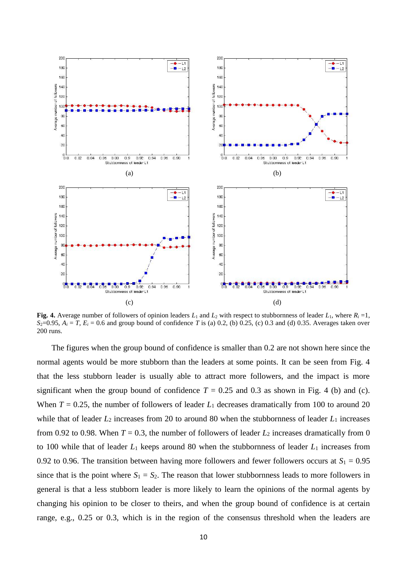

<span id="page-9-0"></span>**Fig. 4.** Average number of followers of opinion leaders  $L_1$  and  $L_2$  with respect to stubbornness of leader  $L_1$ , where  $R_i = 1$ ,  $S_2=0.95$ ,  $A_i = T$ ,  $E_i = 0.6$  and group bound of confidence *T* is (a) 0.2, (b) 0.25, (c) 0.3 and (d) 0.35. Averages taken over 200 runs.

The figures when the group bound of confidence is smaller than 0.2 are not shown here since the normal agents would be more stubborn than the leaders at some points. It can be seen from [Fig. 4](#page-9-0) that the less stubborn leader is usually able to attract more followers, and the impact is more significant when the group bound of confidence  $T = 0.25$  and 0.3 as shown in [Fig. 4](#page-9-0) (b) and (c). When  $T = 0.25$ , the number of followers of leader  $L_1$  decreases dramatically from 100 to around 20 while that of leader  $L_2$  increases from 20 to around 80 when the stubbornness of leader  $L_1$  increases from 0.92 to 0.98. When  $T = 0.3$ , the number of followers of leader  $L_2$  increases dramatically from 0 to 100 while that of leader *L*<sup>1</sup> keeps around 80 when the stubbornness of leader *L*<sup>1</sup> increases from 0.92 to 0.96. The transition between having more followers and fewer followers occurs at  $S_1 = 0.95$ since that is the point where  $S_1 = S_2$ . The reason that lower stubbornness leads to more followers in general is that a less stubborn leader is more likely to learn the opinions of the normal agents by changing his opinion to be closer to theirs, and when the group bound of confidence is at certain range, e.g., 0.25 or 0.3, which is in the region of the consensus threshold when the leaders are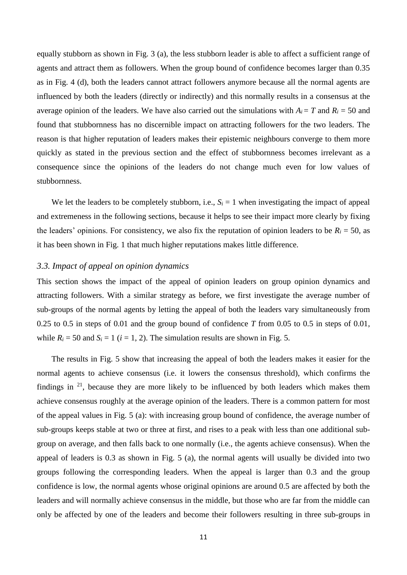equally stubborn as shown in [Fig. 3](#page-8-0) (a), the less stubborn leader is able to affect a sufficient range of agents and attract them as followers. When the group bound of confidence becomes larger than 0.35 as in [Fig. 4](#page-9-0) (d), both the leaders cannot attract followers anymore because all the normal agents are influenced by both the leaders (directly or indirectly) and this normally results in a consensus at the average opinion of the leaders. We have also carried out the simulations with  $A_i = T$  and  $R_i = 50$  and found that stubbornness has no discernible impact on attracting followers for the two leaders. The reason is that higher reputation of leaders makes their epistemic neighbours converge to them more quickly as stated in the previous section and the effect of stubbornness becomes irrelevant as a consequence since the opinions of the leaders do not change much even for low values of stubbornness.

We let the leaders to be completely stubborn, i.e.,  $S_i = 1$  when investigating the impact of appeal and extremeness in the following sections, because it helps to see their impact more clearly by fixing the leaders' opinions. For consistency, we also fix the reputation of opinion leaders to be  $R_i = 50$ , as it has been shown in [Fig. 1](#page-6-0) that much higher reputations makes little difference.

# *3.3. Impact of appeal on opinion dynamics*

This section shows the impact of the appeal of opinion leaders on group opinion dynamics and attracting followers. With a similar strategy as before, we first investigate the average number of sub-groups of the normal agents by letting the appeal of both the leaders vary simultaneously from 0.25 to 0.5 in steps of 0.01 and the group bound of confidence *T* from 0.05 to 0.5 in steps of 0.01, while  $R_i = 50$  and  $S_i = 1$  ( $i = 1, 2$ ). The simulation results are shown in [Fig. 5.](#page-11-0)

The results in [Fig. 5](#page-11-0) show that increasing the appeal of both the leaders makes it easier for the normal agents to achieve consensus (i.e. it lowers the consensus threshold), which confirms the findings in  $21$ , because they are more likely to be influenced by both leaders which makes them achieve consensus roughly at the average opinion of the leaders. There is a common pattern for most of the appeal values in [Fig. 5](#page-11-0) (a): with increasing group bound of confidence, the average number of sub-groups keeps stable at two or three at first, and rises to a peak with less than one additional subgroup on average, and then falls back to one normally (i.e., the agents achieve consensus). When the appeal of leaders is 0.3 as shown in [Fig. 5](#page-11-0) (a), the normal agents will usually be divided into two groups following the corresponding leaders. When the appeal is larger than 0.3 and the group confidence is low, the normal agents whose original opinions are around 0.5 are affected by both the leaders and will normally achieve consensus in the middle, but those who are far from the middle can only be affected by one of the leaders and become their followers resulting in three sub-groups in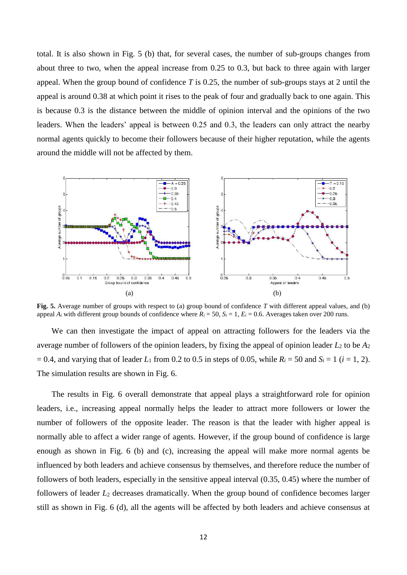total. It is also shown in [Fig. 5](#page-11-0) (b) that, for several cases, the number of sub-groups changes from about three to two, when the appeal increase from 0.25 to 0.3, but back to three again with larger appeal. When the group bound of confidence *T* is 0.25, the number of sub-groups stays at 2 until the appeal is around 0.38 at which point it rises to the peak of four and gradually back to one again. This is because 0.3 is the distance between the middle of opinion interval and the opinions of the two leaders. When the leaders' appeal is between 0.25 and 0.3, the leaders can only attract the nearby normal agents quickly to become their followers because of their higher reputation, while the agents around the middle will not be affected by them.



<span id="page-11-0"></span>**Fig. 5.** Average number of groups with respect to (a) group bound of confidence *T* with different appeal values, and (b) appeal  $A_i$  with different group bounds of confidence where  $R_i = 50$ ,  $S_i = 1$ ,  $E_i = 0.6$ . Averages taken over 200 runs.

We can then investigate the impact of appeal on attracting followers for the leaders via the average number of followers of the opinion leaders, by fixing the appeal of opinion leader *L*<sup>2</sup> to be *A*<sup>2</sup>  $= 0.4$ , and varying that of leader *L*<sub>1</sub> from 0.2 to 0.5 in steps of 0.05, while  $R_i = 50$  and  $S_i = 1$  ( $i = 1, 2$ ). The simulation results are shown in [Fig. 6.](#page-12-0)

The results in [Fig. 6](#page-12-0) overall demonstrate that appeal plays a straightforward role for opinion leaders, i.e., increasing appeal normally helps the leader to attract more followers or lower the number of followers of the opposite leader. The reason is that the leader with higher appeal is normally able to affect a wider range of agents. However, if the group bound of confidence is large enough as shown in [Fig. 6](#page-12-0) (b) and (c), increasing the appeal will make more normal agents be influenced by both leaders and achieve consensus by themselves, and therefore reduce the number of followers of both leaders, especially in the sensitive appeal interval (0.35, 0.45) where the number of followers of leader *L*<sup>2</sup> decreases dramatically. When the group bound of confidence becomes larger still as shown in [Fig. 6](#page-12-0) (d), all the agents will be affected by both leaders and achieve consensus at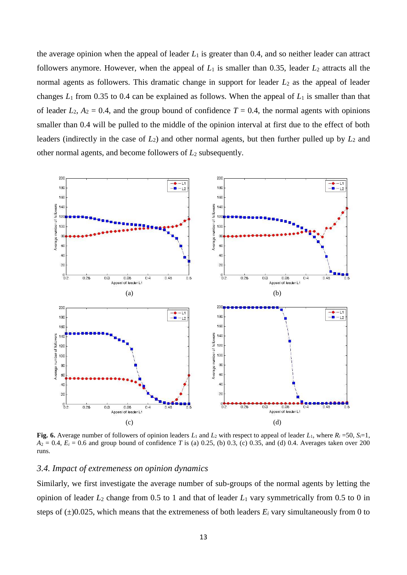the average opinion when the appeal of leader  $L_1$  is greater than 0.4, and so neither leader can attract followers anymore. However, when the appeal of  $L_1$  is smaller than 0.35, leader  $L_2$  attracts all the normal agents as followers. This dramatic change in support for leader *L*<sup>2</sup> as the appeal of leader changes *L*<sup>1</sup> from 0.35 to 0.4 can be explained as follows. When the appeal of *L*<sup>1</sup> is smaller than that of leader  $L_2$ ,  $A_2 = 0.4$ , and the group bound of confidence  $T = 0.4$ , the normal agents with opinions smaller than 0.4 will be pulled to the middle of the opinion interval at first due to the effect of both leaders (indirectly in the case of *L*2) and other normal agents, but then further pulled up by *L*<sup>2</sup> and other normal agents, and become followers of *L*<sup>2</sup> subsequently.



<span id="page-12-0"></span>**Fig. 6.** Average number of followers of opinion leaders  $L_1$  and  $L_2$  with respect to appeal of leader  $L_1$ , where  $R_i = 50$ ,  $S_i = 1$ ,  $A_2 = 0.4$ ,  $E_i = 0.6$  and group bound of confidence *T* is (a) 0.25, (b) 0.3, (c) 0.35, and (d) 0.4. Averages taken over 200 runs.

#### *3.4. Impact of extremeness on opinion dynamics*

Similarly, we first investigate the average number of sub-groups of the normal agents by letting the opinion of leader  $L_2$  change from 0.5 to 1 and that of leader  $L_1$  vary symmetrically from 0.5 to 0 in steps of  $(\pm)0.025$ , which means that the extremeness of both leaders  $E_i$  vary simultaneously from 0 to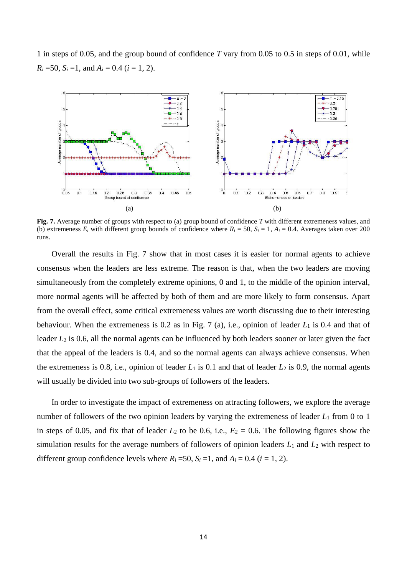1 in steps of 0.05, and the group bound of confidence *T* vary from 0.05 to 0.5 in steps of 0.01, while *R<sub>i</sub>* = 50, *S<sub>i</sub>* = 1, and *A<sub>i</sub>* = 0.4 (*i* = 1, 2).



<span id="page-13-0"></span>**Fig. 7.** Average number of groups with respect to (a) group bound of confidence *T* with different extremeness values, and (b) extremeness  $E_i$  with different group bounds of confidence where  $R_i = 50$ ,  $S_i = 1$ ,  $A_i = 0.4$ . Averages taken over 200 runs.

Overall the results in [Fig. 7](#page-13-0) show that in most cases it is easier for normal agents to achieve consensus when the leaders are less extreme. The reason is that, when the two leaders are moving simultaneously from the completely extreme opinions, 0 and 1, to the middle of the opinion interval, more normal agents will be affected by both of them and are more likely to form consensus. Apart from the overall effect, some critical extremeness values are worth discussing due to their interesting behaviour. When the extremeness is 0.2 as in [Fig. 7](#page-13-0) (a), i.e., opinion of leader *L*<sup>1</sup> is 0.4 and that of leader *L*<sup>2</sup> is 0.6, all the normal agents can be influenced by both leaders sooner or later given the fact that the appeal of the leaders is 0.4, and so the normal agents can always achieve consensus. When the extremeness is 0.8, i.e., opinion of leader  $L_1$  is 0.1 and that of leader  $L_2$  is 0.9, the normal agents will usually be divided into two sub-groups of followers of the leaders.

In order to investigate the impact of extremeness on attracting followers, we explore the average number of followers of the two opinion leaders by varying the extremeness of leader  $L_1$  from 0 to 1 in steps of 0.05, and fix that of leader  $L_2$  to be 0.6, i.e.,  $E_2 = 0.6$ . The following figures show the simulation results for the average numbers of followers of opinion leaders *L*<sup>1</sup> and *L*<sup>2</sup> with respect to different group confidence levels where  $R_i = 50$ ,  $S_i = 1$ , and  $A_i = 0.4$  ( $i = 1, 2$ ).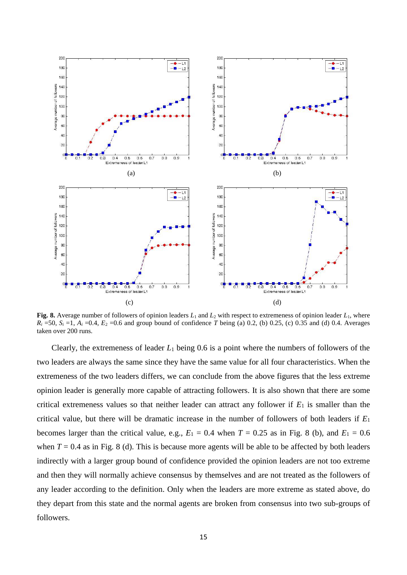

<span id="page-14-0"></span>**Fig. 8.** Average number of followers of opinion leaders *L*<sup>1</sup> and *L*<sup>2</sup> with respect to extremeness of opinion leader *L*1, where  $R_i = 50$ ,  $S_i = 1$ ,  $A_i = 0.4$ ,  $E_2 = 0.6$  and group bound of confidence *T* being (a) 0.2, (b) 0.25, (c) 0.35 and (d) 0.4. Averages taken over 200 runs.

Clearly, the extremeness of leader *L*<sup>1</sup> being 0.6 is a point where the numbers of followers of the two leaders are always the same since they have the same value for all four characteristics. When the extremeness of the two leaders differs, we can conclude from the above figures that the less extreme opinion leader is generally more capable of attracting followers. It is also shown that there are some critical extremeness values so that neither leader can attract any follower if *E*<sup>1</sup> is smaller than the critical value, but there will be dramatic increase in the number of followers of both leaders if *E*<sup>1</sup> becomes larger than the critical value, e.g.,  $E_1 = 0.4$  when  $T = 0.25$  as in [Fig. 8](#page-14-0) (b), and  $E_1 = 0.6$ when  $T = 0.4$  as in [Fig. 8](#page-14-0) (d). This is because more agents will be able to be affected by both leaders indirectly with a larger group bound of confidence provided the opinion leaders are not too extreme and then they will normally achieve consensus by themselves and are not treated as the followers of any leader according to the definition. Only when the leaders are more extreme as stated above, do they depart from this state and the normal agents are broken from consensus into two sub-groups of followers.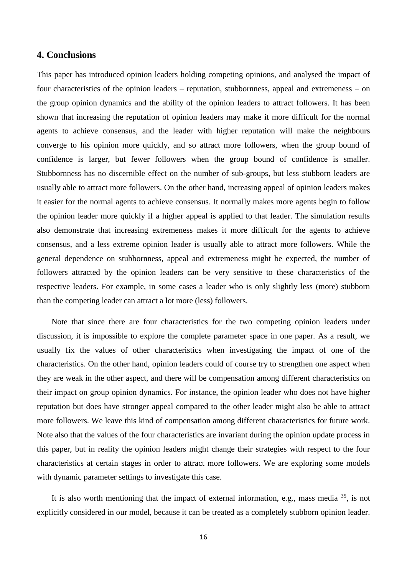# **4. Conclusions**

This paper has introduced opinion leaders holding competing opinions, and analysed the impact of four characteristics of the opinion leaders – reputation, stubbornness, appeal and extremeness – on the group opinion dynamics and the ability of the opinion leaders to attract followers. It has been shown that increasing the reputation of opinion leaders may make it more difficult for the normal agents to achieve consensus, and the leader with higher reputation will make the neighbours converge to his opinion more quickly, and so attract more followers, when the group bound of confidence is larger, but fewer followers when the group bound of confidence is smaller. Stubbornness has no discernible effect on the number of sub-groups, but less stubborn leaders are usually able to attract more followers. On the other hand, increasing appeal of opinion leaders makes it easier for the normal agents to achieve consensus. It normally makes more agents begin to follow the opinion leader more quickly if a higher appeal is applied to that leader. The simulation results also demonstrate that increasing extremeness makes it more difficult for the agents to achieve consensus, and a less extreme opinion leader is usually able to attract more followers. While the general dependence on stubbornness, appeal and extremeness might be expected, the number of followers attracted by the opinion leaders can be very sensitive to these characteristics of the respective leaders. For example, in some cases a leader who is only slightly less (more) stubborn than the competing leader can attract a lot more (less) followers.

Note that since there are four characteristics for the two competing opinion leaders under discussion, it is impossible to explore the complete parameter space in one paper. As a result, we usually fix the values of other characteristics when investigating the impact of one of the characteristics. On the other hand, opinion leaders could of course try to strengthen one aspect when they are weak in the other aspect, and there will be compensation among different characteristics on their impact on group opinion dynamics. For instance, the opinion leader who does not have higher reputation but does have stronger appeal compared to the other leader might also be able to attract more followers. We leave this kind of compensation among different characteristics for future work. Note also that the values of the four characteristics are invariant during the opinion update process in this paper, but in reality the opinion leaders might change their strategies with respect to the four characteristics at certain stages in order to attract more followers. We are exploring some models with dynamic parameter settings to investigate this case.

It is also worth mentioning that the impact of external information, e.g., mass media  $35$ , is not explicitly considered in our model, because it can be treated as a completely stubborn opinion leader.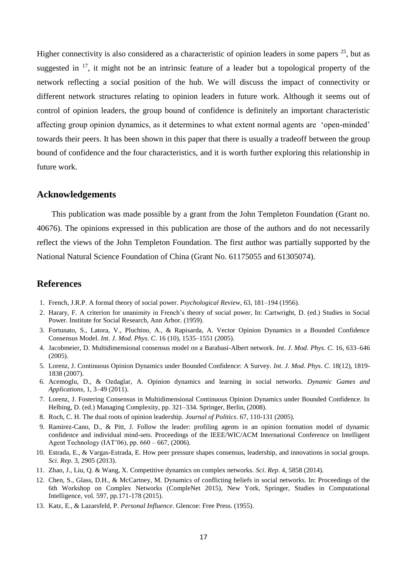Higher connectivity is also considered as a characteristic of opinion leaders in some papers  $^{25}$ , but as suggested in  $17$ , it might not be an intrinsic feature of a leader but a topological property of the network reflecting a social position of the hub. We will discuss the impact of connectivity or different network structures relating to opinion leaders in future work. Although it seems out of control of opinion leaders, the group bound of confidence is definitely an important characteristic affecting group opinion dynamics, as it determines to what extent normal agents are 'open-minded' towards their peers. It has been shown in this paper that there is usually a tradeoff between the group bound of confidence and the four characteristics, and it is worth further exploring this relationship in future work.

## **Acknowledgements**

This publication was made possible by a grant from the John Templeton Foundation (Grant no. 40676). The opinions expressed in this publication are those of the authors and do not necessarily reflect the views of the John Templeton Foundation. The first author was partially supported by the National Natural Science Foundation of China (Grant No. 61175055 and 61305074).

# **References**

- 1. French, J.R.P. A formal theory of social power. *Psychological Review*, 63, 181–194 (1956).
- 2. Harary, F. A criterion for unanimity in French's theory of social power, In: Cartwright, D. (ed.) Studies in Social Power. Institute for Social Research, Ann Arbor. (1959).
- 3. Fortunato, S., Latora, V., Pluchino, A., & Rapisarda, A. Vector Opinion Dynamics in a Bounded Confidence Consensus Model. *Int*. *J*. *Mod*. *Phys*. *C*. 16 (10), 1535–1551 (2005).
- 4. Jacobmeier, D. Multidimensional consensus model on a Barabasi-Albert network. *Int*. *J*. *Mod*. *Phys*. *C*. 16, 633–646 (2005).
- 5. Lorenz, J. Continuous Opinion Dynamics under Bounded Confidence: A Survey. *Int*. *J*. *Mod*. *Phys*. *C*. 18(12), 1819- 1838 (2007).
- 6. Acemoglu, D., & Ozdaglar, A. Opinion dynamics and learning in social networks. *Dynamic Games and Applications*, 1, 3–49 (2011).
- 7. Lorenz, J. Fostering Consensus in Multidimensional Continuous Opinion Dynamics under Bounded Confidence. In Helbing, D. (ed.) Managing Complexity, pp. 321–334. Springer, Berlin, (2008).
- 8. Roch, C. H. The dual roots of opinion leadership. *Journal of Politics*. 67, 110-131 (2005).
- 9. Ramirez-Cano, D., & Pitt, J. Follow the leader: profiling agents in an opinion formation model of dynamic confidence and individual mind-sets. Proceedings of the IEEE/WIC/ACM International Conference on Intelligent Agent Technology (IAT'06), pp. 660 – 667, (2006).
- 10. Estrada, E., & Vargas-Estrada, E. How peer pressure shapes consensus, leadership, and innovations in social groups. *Sci*. *Rep*. 3, 2905 (2013).
- 11. Zhao, J., Liu, Q. & Wang, X. Competitive dynamics on complex networks. *Sci*. *Rep*. 4, 5858 (2014).
- 12. Chen, S., Glass, D.H., & McCartney, M. Dynamics of conflicting beliefs in social networks. In: Proceedings of the 6th Workshop on Complex Networks (CompleNet 2015), New York, Springer, Studies in Computational Intelligence, vol. 597, pp.171-178 (2015).
- 13. Katz, E., & Lazarsfeld, P. *Personal Influence*. Glencoe: Free Press. (1955).